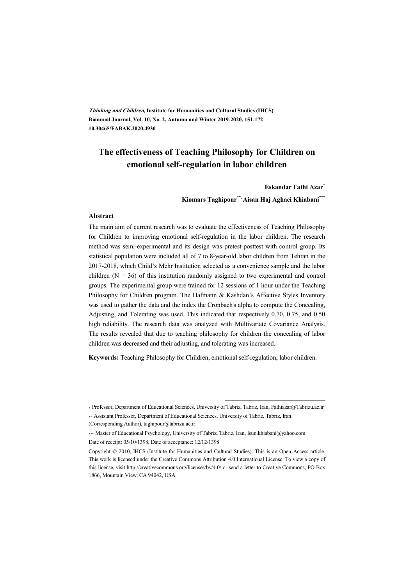**Thinking and Children, Institute for Humanities and Cultural Studies (IHCS) Biannual Journal, Vol. 10, No. 2, Autumn and Winter 2019-2020, 151-172 10.30465/FABAK.2020.4930** 

# **The effectiveness of Teaching Philosophy for Children on emotional self-regulation in labor children**

**Eskandar Fathi Azar\***

**Kiomars Taghipour\*\*, Aisan Haj Aghaei Khiabani\*\*\***

#### **Abstract**

The main aim of current research was to evaluate the effectiveness of Teaching Philosophy for Children to improving emotional self-regulation in the labor children. The research method was semi-experimental and its design was pretest-posttest with control group. Its statistical population were included all of 7 to 8-year-old labor children from Tehran in the 2017-2018, which Child's Mehr Institution selected as a convenience sample and the labor children  $(N = 36)$  of this institution randomly assigned to two experimental and control groups. The experimental group were trained for 12 sessions of 1 hour under the Teaching Philosophy for Children program. The Hafmann & Kashdan's Affective Styles Inventory was used to gather the data and the index the Cronbach's alpha to compute the Concealing, Adjusting, and Tolerating was used. This indicated that respectively 0.70, 0.75, and 0.50 high reliability. The research data was analyzed with Multivariate Covariance Analysis. The results revealed that due to teaching philosophy for children the concealing of labor children was decreased and their adjusting, and tolerating was increased.

**Keywords:** Teaching Philosophy for Children, emotional self-regulation, labor children.

.

(Corresponding Author), taghipour@tabrizu.ac.ir

<sup>\*</sup> Professor, Department of Educational Sciences, University of Tabriz, Tabriz, Iran, Fathiazar@Tabrizu.ac.ir \*\* Assistant Professor, Department of Educational Sciences, University of Tabriz, Tabriz, Iran

<sup>\*\*\*</sup> Master of Educational Psychology, University of Tabriz, Tabriz, Iran, Isun.khiabani@yahoo.com Date of receipt: 05/10/1398, Date of acceptance: 12/12/1398

Copyright © 2010, IHCS (Institute for Humanities and Cultural Studies). This is an Open Access article. This work is licensed under the Creative Commons Attribution 4.0 International License. To view a copy of this license, visit http://creativecommons.org/licenses/by/4.0/ or send a letter to Creative Commons, PO Box 1866, Mountain View, CA 94042, USA.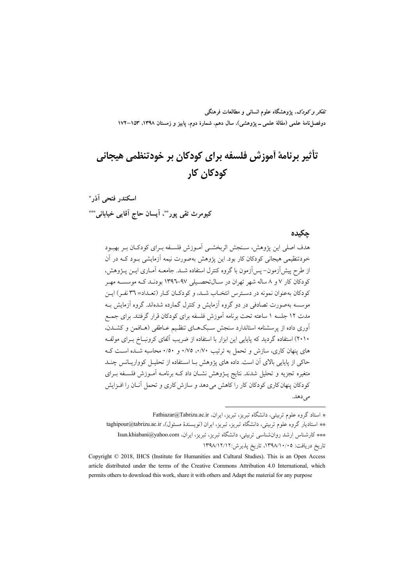تفکر و کودک، یژوهشگاه علوم انسانی و مطالعات فرهنگی دوفصلiامهٔ علمی (مقالهٔ علمی ــ پژوهشی)، سال دهم، شمارهٔ دوم، پاییز و زمستان ۱۳۹۸، ۱۵۳–۱۷۲

# تأثير برنامة أموزش فلسفه براي كودكان بر خودتنظمي هيجاني كودكان كار

اسكندر فتحى آذر\* کيومرث تقي پور\*\*، اَيسان حاج اَقايي خياباني\*\*\*

### حكىدە

هدف اصلی این پژوهش، سـنجش اثربخشـی آمـوزش فلسـفه بـرای کودکـان بـر بهبـود خودتنظیمی هیجانی کودکان کار بود. این یژوهش بهصورت نیمه آزمایشی بـود کـه در آن از طرح پیش آزمون– پس آزمون با گروه کنترل استفاده شـد. جامعــه آمــاری ایــن پــژوهش، کودکان کار ۷ و ۸ ساله شهر تهران در سـالتحصـیلی ۹۷–۱۳۹۲ بودنـد کـه موسسـه مهـر کودکان بهعنوان نمونه در دسته س انتخـاب شـد، و کودکـان کـار (تعـداد= ٣٦ نفـر) ايـن موسسه بهصورت تصادفی در دو گروه آزمایش و کنترل گمارده شدهاند. گروه آزمایش بـه مدت ۱۲ جلسه ۱ ساعته تحت برنامه آموزش فلسفه برای کودکان قرار گرفتند. برای جمـع آوری داده از پرسشنامه استاندارد سنجش سبکهای تنظیم عـاطفی (هـافمن و کشـدن، ۲۰۱۰) استفاده گردید که پایایی این ابزار با استفاده از ضریب آلفای کرونبـاخ بــرای مولفـه های پنهان کاری، سازش و تحمل به ترتیب ۰/۷۰، ۰/۷۵ و ۱/۵۰ محاسبه شـده اسـت کـه حاکی از پایایی بالای آن است. داده های پژوهش بـا اسـتفاده از تحلیــل کوواریــانس چنــد متغیره تجزیه و تحلیل شدند. نتایج پــژوهش نشــان داد کــه برنامــه آمــوزش فلســفه بــرای کودکان پنهان کاری کودکان کار را کاهش می دهد و سازش کاری و تحمل آنــان را افــزايش مي دهد.

\* استاد گروه علوم تربیتی، دانشگاه تیریز، تیریز، ایران، Fathiazar@Tabrizu.ac.ir \*\* استادیار گروه علوم تربیتی، دانشگاه تبریز، تبریز، ایران (نویسندهٔ مسئول)، taghipour@tabrizu.ac.ir \*\*\* كارشناس ارشد روانشناسی تربیتی، دانشگاه تبریز، تبریز، ایران، Isun.khiabani@yahoo.com تاريخ دريافت: ١٣٩٨/١٠/٠٥، تاريخ يذيرش:١٣٩٨/١٢/١٢

Copyright © 2018, IHCS (Institute for Humanities and Cultural Studies). This is an Open Access article distributed under the terms of the Creative Commons Attribution 4.0 International, which permits others to download this work, share it with others and Adapt the material for any purpose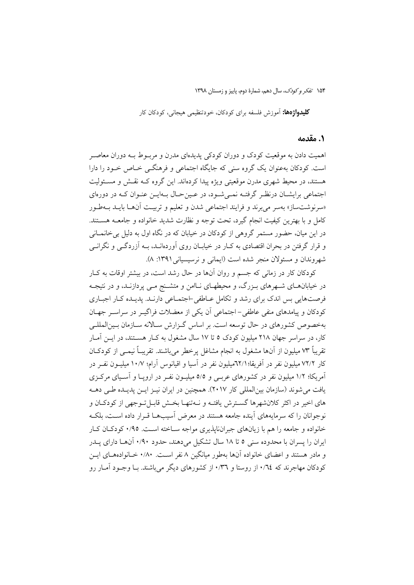**کلیدواژهها:** آموزش فلسفه برای کودکان، خودتنظیمی هیجانی، کودکان کار

### ١. مقدمه

اهمیت دادن به موقعیت کودک و دوران کودکی پدیدهای مدرن و مربـوط بـه دوران معاصـر است. کودکان بهعنوان یک گروه سنی که جایگاه اجتماعی و فرهنگــی خــاص خــود را دارا هستند، در محیط شهری مدرن موقعیتی ویژه پیدا کردهاند. این گروه کـه نقـش و مسـئولیت اجتماعی برایشـان درنظـر گرفتـه نمـی شـود، در عـین حـال بـهایـن عنـوان کـه در دورهای «سرنوشتساز» بهسر مى برند و فرايند اجتماعى شدن و تعليم و تربيت أنهـا بايــد بــهطـور كامل و با بهترين كيفيت انجام گيرد، تحت توجه و نظارت شديد خانواده و جامعــه هســتند. در این میان، حضور مستمر گروهی از کودکان در خیابان که در نگاه اول به دلیل بی خانمـانی و قرار گرفتن در بحران اقتصادی به کـار در خیابـان روی آوردهانــد، بــه آزردگــی و نگرانــی شهروندان و مسئولان منجر شده است (ایمانی و نرسیسیانی ۱۳۹۱: ۸).

کودکان کار در زمانی که جسم و روان آنها در حال رشد است، در بیشتر اوقات به کـار در خیابانهای شـهرهای بـزرگ، و محیطهـای نـاامن و متشـنج مـی پردازنـد، و در نتیجـه فرصتهایی بس اندک برای رشد و تکامل عـاطفی +جتمـاعی دارنـد. یدیـده کـار اجبـاری کودکان و پیامدهای منفی عاطفی – اجتماعی آن یکی از معضلات فراگیــر در سراســر جهــان بهخصوص کشورهای در حال توسعه است. بر اساس گـزارش سـالانه سـازمان بـین|لمللـی کار، در سراسر جهان ۲۱۸ میلیون کودک ۵ تا ۱۷ سال مشغول به کـار هسـتند، در ایــن آمـار تقریباً ٧٣ میلیون از آنها مشغول به انجام مشاغل پرخطر میباشند. تقریبـاً نیمــی از کودکــان کار ۷۲/۲ میلیون نفر در آفریقا؛ (۳۲/۱میلیون نفر در آسیا و اقیانوس آرام؛ ۱۰/۷ میلیــون نفــر در آمریکا؛ ۱/۲ میلیون نفر در کشورهای عربے و ٥/٥ میلیـون نفـر در اروپـا و آسـیای مرکـزی یافت می شوند (سازمان بین|لمللی کار ۲۰۱۷). همچنین در ایران نیــز ایــن پدیــده طــی دهــه های اخیر در اکثر کلانشهرها گسترش یافتـه و نــهتنهــا بخــش قابــا تــوجهی از کودکــان و نوجوانان را که سرمایههای آینده جامعه هستند در معرض آسیبها قبرار داده است، بلک خانواده و جامعه را هم با زیانهای جبراننایذیری مواجه سـاخته اسـت. ۰/۹٥ کودکـان کـار ایران را پسران با محدوده سنی ٥ تا ١٨ سال تشکیل می دهند، حدود ٠/٩٠ آنهـا دارای پــدر و مادر هستند و اعضای خانواده آنها بهطور میانگین ۸ نفر است. ۰/۸۰ خـانوادههـای ایــن کودکان مهاجرند که ۰/٦٤ از روستا و ۰/٣٦ از کشورهای دیگر میباشند. بـا وجـود آمـار رو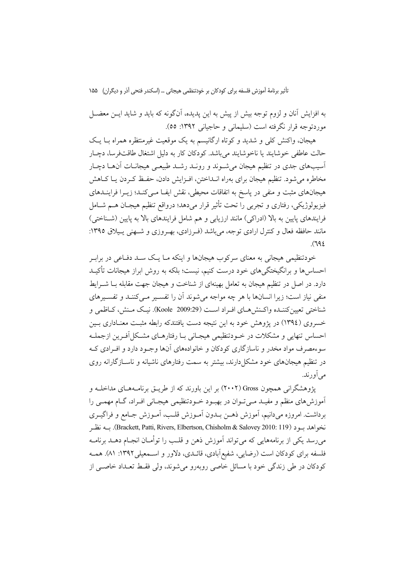به افزایش آنان و لزوم توجه بیش از پیش به این پدیده، آنگونه که باید و شاید ایــن معضــل موردتوجه قرار نگرفته است (سلیمانی و حاجبانی ۱۳۹۲: ٥٥).

هیجان، واکنش کلی و شدید و کو تاه ارگانیسم به یک موقعیت غیرمنتظره همراه بــا یــک حالت عاطفي خوشايند يا ناخوشايند مي باشد. كودكان كار به دليل اشتغال طاقتفرسا، دچــار اسیبهای جدی در تنظیم هیجان می شـوند و رونـد رشـد طبیعـی هیجانـات اَنهـا دچـار مخاطره می شود. تنظیم هیجان برای بهراه انـداختن، افـزایش دادن، حفـظ کـردن پـا کــاهش هیجانهای مثبت و منفی در پاسخ به اتفاقات محیطی، نقش ایف امبی کنـد؛ زیــرا فراینــدهای فیزیولوژیکی، رفتاری و تجربی را تحت تأثیر قرار میدهد؛ درواقع تنظیم هیجـان هــم شــامل فرایندهای پایین به بالا (ادراکی) مانند ارزیابی و هم شامل فرایندهای بالا به پایین (شـناختی) مانند حافظه فعال و كنترل ارادي توجه، مي باشد (فـرزادي، بهـروزي و شـهني پـيلاق ١٣٩٥:  $(796)$ 

خودتنظیمی هیجانی به معنای سرکوب هیجانها و اینکه مـا یـک سـد دفـاعی در برابـر احساس ها و برانگیختگی های خود درست کنیم، نیست؛ بلکه به روش ابراز هیجانات تأکیـد دارد. در اصل در تنظیم هیجان به تعامل بهینهای از شناخت و هیجان جهت مقابله بـا شــرایط منفی نیاز است؛ زیرا انسانها با هر چه مواجه می شوند آن را تفسیر مـیکننـد و تفسـیرهای شناختي تعيين كننـده واكـنش هـاي افـراد اسـت (2009:29 Koole). نيـك مـنش، كـاظمى و خسروی (١٣٩٤) در پژوهش خود به این نتیجه دست یافتندکه رابطه مثبت معنـاداری بــین احساس تنهایی و مشکلات در خــودتنظیمی هیجــانی بــا رفتارهــای مشــکل|آفــرین ازجملــه سوءمصرف مواد مخدر و ناسازگاری کودکان و خانوادههای آنها وجـود دارد و افـرادی کـه در تنظیم هیجانهای خود مشکل دارند، بیشتر به سمت رفتارهای ناشیانه و ناســازگارانه روی مي اَورند.

یژوهشگرانی همچون Gross (۲۰۰۲) بر این باورند که از طریــق برنامــههــای مداخلــه و آموزش های منظم و مفیـد مـی تـوان در بهبـود خـودتنظیمی هیجـانی افـراد، گـام مهمـی را برداشت. امروزه میدانیم، اَموزش ذهــن بــدون اَمــوزش قلــب، اَمــوزش جــامع و فراگیــری نخواهد بـود (Brackett, Patti, Rivers, Elbertson, Chisholm & Salovey 2010: 119). بــه نظـر میرسد یکی از برنامههایی که می تواند آموزش ذهن و قلـب را توأمـان انجـام دهــد برنامــه فلسفه برای کودکان است (رضایی، شفیع آبادی، قائـدی، دلاور و اســمعیلی ۱۳۹۲: ۸۱). همــه کودکان در طی زندگی خود با مسائل خاصی روبهرو می شوند، ولی فقـط تعـداد خاصـی از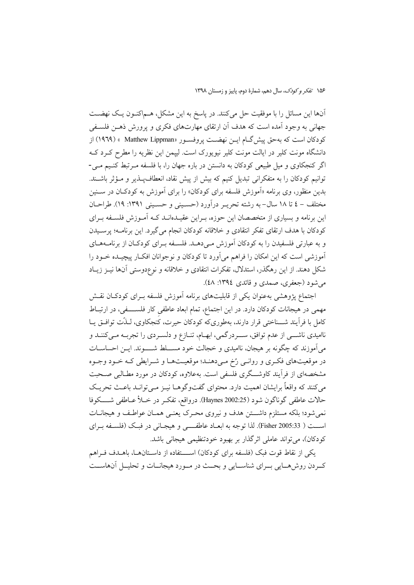آنها این مسائل را با موفقیت حل میکنند. در پاسخ به این مشکل، هــماکنــون یــک نهضــت جهانی به وجود آمده است که هدف آن ارتقای مهارتهای فکری و پرورش ذهـن فلسـفی كودكان است كه بهحق پیش گــام ایــن نهضــت پروفســور «Matthew Lippman » (١٩٦٩) از دانشگاه مونت کلیر در ایالت مونت کلیر نیویورک است. لیپمن این نظریه را مطرح کــرد کــه اگر کنجکاوی و میل طبیعی کودکان به دانستن در باره جهان را، با فلسفه مـرتبط کنـیم مـی-توانیم کودکان را به متفکرانی تبدیل کنیم که بیش از پیش نقاد، انعطاف پــذیر و مــؤثر باشــند. بدین منظور، وی برنامه «آموزش فلسفه برای کودکان» را برای آموزش به کودکـان در ســنین مختلف – ٤ تا ١٨ سال–به رشته تحريـر درآورد (حسـيني و حسـيني ١٣٩١: ١٩). طراحــان این برنامه و بسیاری از متخصصان این حوزه، بـراین عقیـدهانـد کـه آمـوزش فلسـفه بـرای كودكان با هدف ارتقاى تفكر انتقادى و خلاقانه كودكان انجام مى گيرد. اين برنامـه؛ پرسـيدن و به عبارتی فلسفیدن را به کودکان آموزش مـی۵هـد. فلسـفه بـرای کودکـان از برنامـههـای آموزشی است که این امکان را فراهم میآورد تا کودکان و نوجوانان افکـار پیچیـده خــود را شکل دهند. از این رهگذر، استدلال، تفکرات انتقادی و خلاقانه و نوعٖدوستی آنها نیــز زیــاد میشود (جعفری، صمدی و قائدی ۱۳۹٤: ٤٨).

اجتماع پژوهشی بهعنوان یکی از قابلیتهای برنامه آموزش فلسفه بـرای کودکـان نقـش مهمی در هیجانات کودکان دارد. در این اجتماع، تمام ابعاد عاطفی کار فلســــفی، در ارتبــاط كامل با فرأيند شــناختى قرار دارند، بهطورىكه كودكان حيرت، كَنجكاوى، لـذَّت توافــق يــا ناامیدی ناشـــی از عدم توافق، ســـردرگمی، ابهــام، تنــازع و دلســردی را تجربــه مــیکننــد و می آموزند که چگونه بر هیجان، ناامیدی و خجالت خود مســـلط شــــوند. ایـــن احساســات در موقعیتهای فکری و روانبی رُخ می دهند؛ موقعیتها و شـرایطی کـه خـود وجـوه مشخصهای از فرأیند کاوشــگری فلسفی است. بهعلاوه، کودکان در مورد مطـالبی صـحبت می کنند که واقعاً برایشان اهمیت دارد. محتوای گفتوگوهـا نیـز مـی توانـد باعـث تحریـک حالات عاطفي گوناگون شود (2002:25 Haynes). درواقع، تفكـر در خــلأ عــاطفي شـــــكوفا نمی شود؛ بلکه مستلزم داشت ن هدف و نیروی محـرک یعنـی همـان عواطـف و هیجانـات است ( Fisher 2005:33). لذا توجه به ابعـاد عاطفــــي و هيجـاني در فبـك (فلسـفه بـراي كودكان)، مي تواند عاملي اثرگذار بر بهبود خودتنظيمي هيجاني باشد.

يكي از نقاط قوت فبك (فلسفه براي كودكان) اســـتفاده از داسـتانهـا، باهـدف فـراهم كـردن روش هــايي بــراي شناســايي و بحــث در مــورد هيجانــات و تحليــل آن&اســت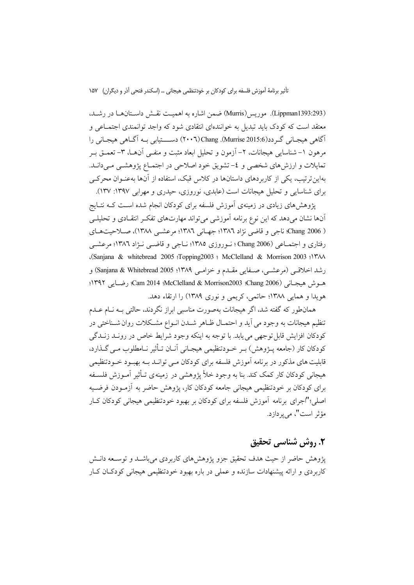(Lippman1393:293). موريس(Murris) ضمن اشاره به اهميت نقش داستان ها در رشد. معتقد است که کودک باید تبدیل به خوانندهای انتقادی شود که واجد توانمندی اجتمـاعی و آگاهي هيجــاني گــردد(Murrise 2015:6). T۰۰٦)Chang) دســـــتيابي بــه آگــاهي هيجــاني را مرهون ١–شناسايي هيجانات، ٢– اَزمون و تحليل ابعاد مثبت و منفــي اَنهــا، ٣– تعمــق بــر تمايلات و ارزش هاي شخصي و ٤- تشويق خود اصلاحي در اجتمــاع يژوهشــي مــي دانــد. بهاین ترتیب، یکی از کاربردهای داستانها در کلاس قبک، استفاده از آنها بهعنـوان محرکـی برای شناسایی و تحلیل هیجانات است (عابدی، نوروزی، حیدری و مهرابی ۱۳۹۷: ۱۳۷).

یژوهش های زیادی در زمینهی آموزش فلسفه برای کودکان انجام شده اسـت کــه نتــایج آنها نشان میدهد که این نوع برنامه آموزشی می تواند مهارتهای تفکر انتقـادی و تحلیلــی ( Chang 2006؛ ناجی و قاضی نژاد ۱۳۸٦؛ جهـانی ۱۳۸٦؛ مرعشـی ۱۳۸۸)، صـلاحیتهـای رفتاری و اجتمــاعی (2006 Chang ؛ نــوروزی ١٣٨٥؛ نــاجی و قاضـــی نــژاد ١٣٨٦؛ مرعشــی (Sanjana & whitebread 2005 :Topping2003 : McClelland & Morrison 2003 : \\r\\ رشد اخلاقی (مرعشی، صفایی مقلدم و خزامی ۱۳۸۹؛ Sanjana & Whitebread 2005) و هـوش هيجـاني (Cam 2014 McClelland & Morrison2003 :Chang 2006) رضـايي ١٣٩٢؛ هويدا و همايي ١٣٨٨؛ حاتمي، كريمي و نوري ١٣٨٩) را ارتقاء دهد.

همانِ طور که گفته شد، اگر هیجانات بهصورت مناسبی ابراز نگردند، حالتی بـه نــام عــدم تنظیم هیجانات به وجود می آید و احتمـال ظـاهر شــدن انـواع مشـكلات روان شــناختی در كودكان افزايش قابل توجهي مي يابد. با توجه به اينكه وجود شرايط خاص در رونـد زنــدگي کودکان کار (جامعه پـژوهش) بـر خـودتنظيمي هيجـاني آنـان تـأثير نـامطلوب مـي گـذارد، قابلیت های مذکور در برنامه آموزش فلسفه برای کودکان مـی توانــد بــه بهبــود خــودتنظیمی هیجانی کودکان کار کمک کند. بنا به وجود خلأ پژوهشی در زمینه ی تـأثیر آمـوزش فلسـفه برای کودکان بر خودتنظیمی هیجانی جامعه کودکان کار، پژوهش حاضر به آزمـودن فرضـیه اصلي؛"اجرای برنامه آموزش فلسفه برای کودکان بر بهبود خودتنظیمی هیجانی کودکان کبار مؤثر است"، می پردازد.

# ٢. روش شناسي تحقيق

یژوهش حاضر از حیث هدف تحقیق جزو پژوهش های کاربردی می باشــد و توســعه دانــش کاربردی و ارائه پیشنهادات سازنده و عملی در باره بهبود خودتنظیمی هیجانی کودکـان کـار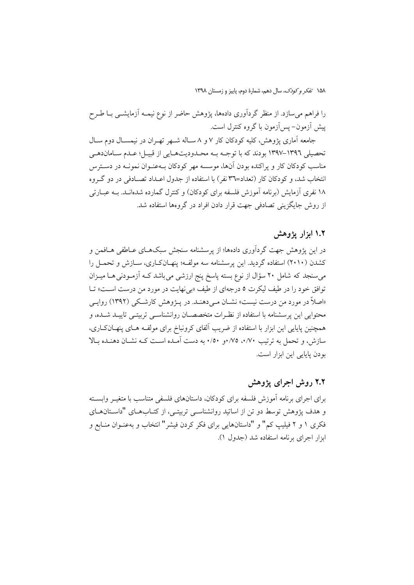را فراهم می سازد. از منظر گردآوری دادهها، پژوهش حاضر از نوع نیمــه آزمایشــی بــا طــرح يبش أزمون- پس أزمون يا گروه كنترل است.

جامعه آماری پژوهش، کلیه کودکان کار ۷ و ۸ سـاله شـهر تهـران در نیمسـال دوم سـال تحصیلی ١٣٩٦–١٣٩٧ بودند که با توجـه بـه محـدودیتهـایی از قبیـل؛ عـدم سـاماندهـی مناسب کودکان کار و پراکنده بودن آنها، موسسه مهر کودکان بـهعنـوان نمونـه در دسـترس انتخاب شد، و کو دکان کار (تعداد=٣٦ نفر ) با استفاده از جدول اعـداد تصـادفی در دو گـروه ۱۸ نفری آزمایش (برنامه آموزش فلسفه برای کودکان) و کنترل گمارده شدهانـد. بــه عبــارتـی از روش جايگزيني تصادفي جهت قرار دادن افراد در گروهها استفاده شد.

# ۱.۲ ابزار یژوهش

در این پژوهش جهت گردآوری دادهها؛ از پرسشنامه سنجش سبکهـای عـاطفی هـافمن و کشدن (۲۰۱۰) استفاده گردید. این پرسشنامه سه مولف؛ پنهـانکـاری، سـازش و تحمـل را می سنجد که شامل ۲۰ سؤال از نوع بسته پاسخ پنج ارزشی می باشد کـه آزمـودنی هـا میـزان توافق خود را در طيف ليكرت ٥ درجهاي از طيف «بي نهايت در مورد من درست است» تــا «اصلاً در مورد من درست نیست» نشـان مـیدهنــد. در پــژوهش کارشــکی (۱۳۹۲) روایــی محتوایی این پرسشنامه با استفاده از نظـرات متخصصـان روانشناسـی تربیتـی تاییـد شـده، و همچنین پایایی این ابزار با استفاده از ضریب آلفای کرونباخ برای مولفـه هـای پنهـانکـاری، سازش، و تحمل به ترتیب ۰/۷۰، ۰/۷۵ م. ۰/۵۰ به دست آمـده اسـت کـه نشـان دهنـده بـالا بو دن پایایی این ابزار است.

۲.۲ روش اجرای یژوهش برای اجرای برنامه آموزش فلسفه برای کودکان، داستانهای فلسفی متناسب با متغییر وابسته و هدف پژوهش توسط دو تن از اساتید روانشناسبی تربیتی، از کتـابهـای "داسـتانهـای فکری ۱ و ۲ فیلیپ کم" و "داستانهایی برای فکر کردن فیشر" انتخاب و بهعنـوان منـابع و ابزار اجراي برنامه استفاده شد (جدول ۱).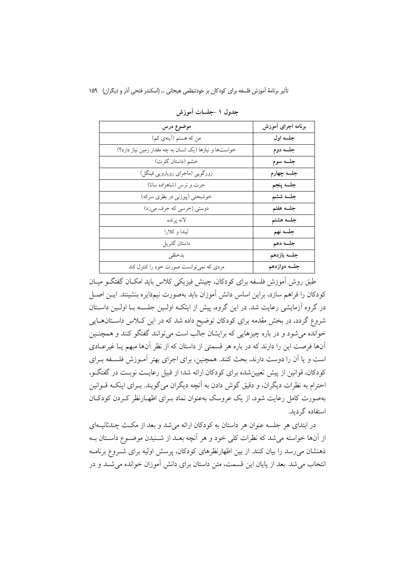| موضوع درس                                               | برنامه اجراى أموزش |
|---------------------------------------------------------|--------------------|
| من که هستم (اَینهی کم)                                  | جلسه اول           |
| خواستها و نیازها (یک انسان به چه مقدار زمین نیاز دارد؟) | جلسه دوم           |
| خشم (داستان گلرت)                                       | جلسه سوم           |
| زورگویی (ماجرای رویارویی فینگل)                         | جلسه چهارم         |
| جرت و ترس (شاهزاده سانا)                                | جلسه پنجم          |
| خوشبختی (پیرزنی در بطری سرکه)                           | جلسه ششم           |
| دوستي (خرسي كه حرف ميزد)                                | جلسه هفتم          |
| لانه يرنده                                              | جلسه هشتم          |
| ليندا وكلارا                                            | جلسه نهم           |
| داستان گابريل                                           | جلسه دهم           |
| بدخلقى                                                  | جلسه يازدهم        |
| مردی که نمیتوانست صورت خود را کنترل کند                 | جلسه دوازدهم       |

جدول ۱ جلسات آموزش

طبق روش اَموزش فلسفه برای کودکان، چینش فیزیکی کلاس باید امکــان گفتگــو میــان كودكان را فراهم سازد، براين اساس دانش آموزان بايد بهصورت نيمدايره بنشينند. ايــن اصــل در گروه آزمایشی رعایت شد. در این گروه، پیش از اینکـه اولـین جلســه بــا اولـین داســتان شروع گردد، در بخش مقدمه برای کودکان توضیح داده شد که در این کلاس داسـتانهــایی خوانده می شود و در باره چیزهایی که برایشان جالب است می توانند گفتگو کنند و همچنـین آنها فرصت این را دارند که در باره هر قسمتی از داستان که از نظر آنها مبهم یـا غیرعــادی است و یا آن را دوست دارند، بحث کنند. همچنین، برای اجرای بهتر آمـوزش فلسـفه بـرای کودکان، قوانین از پیش تعیین شده برای کودکان ارائه شد؛ از قبیل رعایت نوبت در گفتگو، احترام به نظرات دیگران، و دقیق گوش دادن به آنچه دیگران می گویند. بـرای اینکـه قــوانین بهصورت کامل رعایت شود، از یک عروسک بهعنوان نماد بـرای اظهـارنظر کـردن کودکـان استفاده گر دىد.

در ابتدای هر جلسه عنوان هر داستان به کودکان ارائه می شد و بعد از مکث چندثانیـهای از آنها خواسته می شد که نظرات کلی خود و هر آنچه بعـد از شــنیدن موضــوع داسـتان بــه ذهنشان می رسد را بیان کنند. از بین اظهارنظرهای کودکان، پرسش اولیه برای شـروع برنامـه انتخاب می شد. بعد از پایان این قسمت، متن داستان برای دانش آموزان خوانده می شـد و در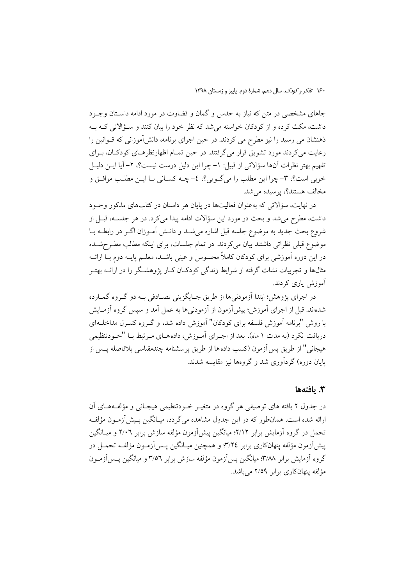جاهای مشخصی در متن که نیاز به حدس و گمان و قضاوت در مورد ادامه داسـتان وجـود داشت، مکث کرده و از کودکان خواسته می شد که نظر خود را بیان کنند و سـؤالاتی کـه بـه ذهنشان می رسید را نیز مطرح می کردند. در حین اجرای برنامه، دانشآموزانی که قــوانین را رعایت می کردند مورد تشویق قرار می گرفتند. در حین تمـام اظهارنظرهـای کودکـان، بـرای تفهيم بهتر نظرات آنها سؤالاتي از قبيل: ١– چرا اين دليل درست نيست؟، ٢– آيا ايــن دليــل خوبي است؟، ٣- چرا اين مطلب را مي گـويي؟، ٤- چــه كســاني بــا ايــن مطلــب موافــق و مخالف هستند؟، پرسیده می شد.

در نهایت، سؤالاتی که بهعنوان فعالیتها در پایان هر داستان در کتابهای مذکور وجـود داشت، مطرح می شد و بحث در مورد این سؤالات ادامه پیدا می کرد. در هر جلسـه، قبـل از شروع بحث جدید به موضوع جلسه قبل اشاره می شـد و دانـش آمـوزان اگـر در رابطـه بـا موضوع قبلی نظراتی داشتند بیان می کردند. در تمام جلسات، برای اینکه مطالب مطـرحشـده در این دوره آموزشی برای کودکان کاملاً محسوس و عینی باشــد، معلــم پایــه دوم بــا ارائــه مثالها و تجربیات نشات گرفته از شرایط زندگی کودکـان کـار پژوهشـگر را در ارائــه بهتـر آموزش یاری کردند.

در اجرای پژوهش؛ ابتدا آزمودنیها از طریق جـایگزینی تصـادفی بـه دو گـروه گمـارده شدهاند. قبل از اجرای آموزش؛ پیشآزمون از آزمودنیها به عمل آمد و سپس گروه آزمـایش با روش "برنامه آموزش فلسفه برای کودکان" آموزش داده شد، و گـروه کنتـرل مداخلـهای دریافت نکرد (به مدت ۱ ماه). بعد از اجـرای آمـوزش، دادههـای مـرتبط بـا "خـودتنظیمی هيجاني" از طريق پس اَزمون (كسب داده ها از طريق پرسشنامه چندمقياسي بلافاصله پــس از یایان دوره) گردآوری شد و گروهها نیز مقایسه شدند.

### 3. يافتەھا

در جدول ۲ یافته های توصیفی هر گروه در متغیـر خــودتنظیمی هیجــانی و مؤلفــههــای آن ارائه شده است. همانطور که در این جدول مشاهده میگردد، میـانگین پـیش[زمـون مؤلفـه تحمل در گروه آزمایش برابر ۲/۱۲؛ میانگین پیش[زمون مؤلفه سازش برابر ۲/۰٦ و میــانگین يش آزمون مؤلفه پنهانكاري براير ٣/٢٤؛ و همچنين مسانگين پس آزمـون مؤلفـه تحمـل در گروه آزمایش برابر ۳/۸۸؛ میانگین پس آزمون مؤلفه سازش برابر ۳/٥٦ و میانگین پــس آزمــون مؤلفه پنهانکاری برابر ۲/٥۹ می باشد.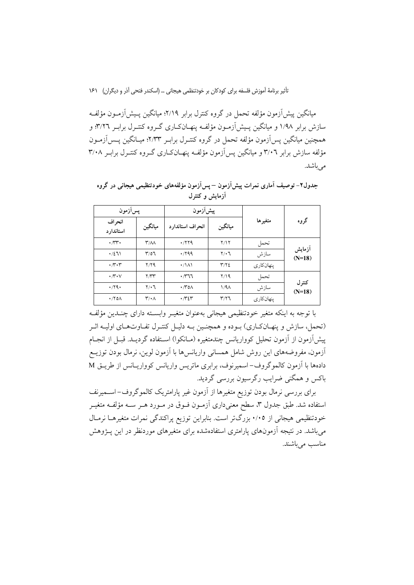میانگین پیش آزمون مؤلفه تحمل در گروه کنترل برابر ۲/۱۹؛ میانگین پـیش آزمـون مؤلفـه سازش برابر ۱/۹۸ و میانگین پیش آزمـون مؤلفـه پنهــانکــاری گــروه کنتــرل برابـر ۳/۲٦؛ و همچنین میانگین پس آزمون مؤلفه تحمل در گروه کنتـرل برابـر ۲/۳۳؛ میـانگین پــس[زمــون مؤلفه سازش برابر ۳/۰٦ و میانگین پس آزمون مؤلف پنهـانکـاری گـروه کنتـرل برابـر ۳/۰۸ مے باشد.

|                    |            | ييشآزمون                      |                             | پسآزمون                      |                       |
|--------------------|------------|-------------------------------|-----------------------------|------------------------------|-----------------------|
| گروه               | متغيرها    | ميانگين                       | انحراف استاندارد            | ميانگين                      | انحر اف<br>استاندار د |
|                    | تحمل       | Y/Y                           | .7779                       | $\mathsf{r}/\mathsf{N}$      | $\cdot \pi$ .         |
| أزمايش<br>$(N=18)$ | سازش       | $\mathbf{Y}/\cdot \mathbf{I}$ | .799                        | Y/07                         | .721                  |
|                    | ينهان كارى | $\Upsilon/\Upsilon$           | $\cdot$ /\ $\wedge$ \       | Y/YQ                         | $\cdot \pi \cdot r$   |
|                    | تحمل       | Y/19                          | $\cdot$ $\gamma$ ٦٦         | $\gamma \gamma \gamma$       | $\cdot \pi \cdot v$   |
| كترل<br>$(N=18)$   | سازش       | 1/9 <sub>A</sub>              | $\cdot$ / $\sim$ 0 $\wedge$ | $Y/\cdot 7$                  | .79.                  |
|                    | ينهان كارى | $\mathbf{r}/\mathbf{r}$       | $\cdot \pi \varepsilon$ ۳   | $\mathbf{r}/\cdot\mathbf{A}$ | $\cdot$ / $\circ$ /   |

جدول۲– توصیف آماری نمرات پیشآزمون – پسآزمون مؤلفههای خودتنظیمی هیجانی در گروه آزمایش و کنترل

با توجه به اینکه متغیر خودتنظیمی هیجانی بهعنوان متغیـر وابسـته دارای چنـدین مؤلفـه (تحمل، سازش و پنهـانکـاري) بـوده و همچنـين بـه دليـل کنتـرل تفـاوتـهـاي اوليـه اثـر پیشآزمون از آزمون تحلیل کوواریانس چندمتغیره (مـانکوا) اسـتفاده گردیــد. قبــل از انجــام أزمون، مفروضههای این روش شامل همسانی واریانسها با آزمون لوین، نرمال بودن توزیـع دادهها با آزمون كالموگروف-اسميرنوف، برابري ماتريس واريانس كوواريـانس از طريــق M باکس و همگنی ضرایب رگرسیون بررسی گردید.

برای بررسی نرمال بودن توزیع متغیرها از آزمون غیر پارامتریک کالموگروف–اسـمیرنف استفاده شد. طبق جدول ۳، سطح معنىدارى أزمــون فــوق در مــورد هــر ســه مؤلفــه متغيــر خودتنظیمی هیجانی از ۰/۰۵ بزرگتر است. بنابراین توزیع پراکندگی نمرات متغیرهـا نرمـال می باشد. در نتیجه آزمونهای پارامتری استفادهشده برای متغیرهای موردنظر در این پــژوهش مناسب می باشند.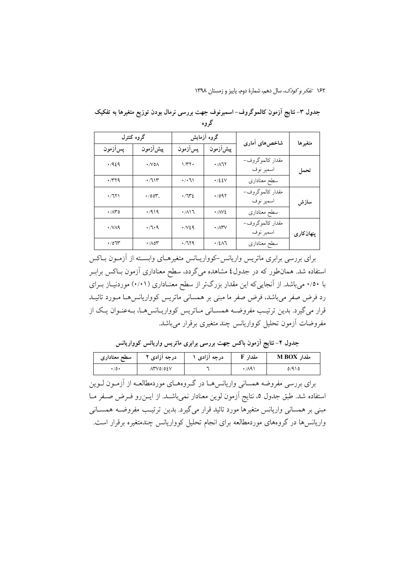| متغيرها    | شاخصهای آماری                 | گروه آزمایش               |                                | گروه کنترل                  |                                    |  |
|------------|-------------------------------|---------------------------|--------------------------------|-----------------------------|------------------------------------|--|
|            |                               | پیشآزمون                  | پسآزمون                        | پیشآزمون                    | يسرآزمون                           |  |
| تحمل       | مقدار كالموگروف-<br>اسمير نوف | $\cdot$ /17               | ۱/۳۲۰                          | $\cdot$ / $\vee$ 0 $\wedge$ | .429                               |  |
|            | سطح معنادارى                  | $\cdot$ /22 $\vee$        | $\cdot/\cdot$ 1)               | .711                        | ۰٬۳۲۹                              |  |
| سازش       | مقدار كالموگروف-<br>اسمير نوف | .7097                     | $\cdot$ / $\uparrow\uparrow$ 2 | $\cdot$ /00 $\mathcal{C}$ . | ۰/٦٢١                              |  |
|            | سطح معنادارى                  | $\cdot$ /AVE              | $\cdot$ /11                    | .7919                       | ۰/۸۳٥                              |  |
| پنهان کاری | مقدار كالموگروف-<br>اسمير نوف | $\cdot$ / $\wedge$ $\vee$ | $\cdot$ $N29$                  | $\cdot$ /٦ $\cdot$ ٩        | $\cdot$ / $\vee$ $\wedge$ $\wedge$ |  |
|            | سطح معنادارى                  | $\cdot$ /٤ $\wedge$ ٦     | .7179                          | $\cdot$ //0۳                | $\cdot$ /075                       |  |

جدول ٣- نتايج اَزمون كالموگروف-اسميرنوف جهت بررسي نرمال بودن توزيع متغيرها به تفكيك گروه

برای بررسی برابری ماتریس واریانس-کوواریــانس متغیرهــای وابســته از اَزمــون بــاکس استفاده شد. همان طور که در جدول £ مشاهده میگردد، سطح معناداری آزمون بـاکس برابـر با ۰/۰۰ میباشد. از آنجاییکه این مقدار بزرگتر از سطح معنـاداری (۰/۰۱) موردنیـاز بـرای رد فرض صفر میباشد، فرض صفر ما مبنی بر همسانی ماتریس کوواریانس هـا مـورد تائیــد قرار می گیرد. بدین ترتیب مفروضه همسـانی مـاتریس کوواریـانس۵هـا، بـهعنـوان یـک از مفروضات أزمون تحليل كوواريانس چند متغيري برقرار مى باشد.

۔<br>جدول ۴– نتایج آزمون باکس جهت بررسی برابری ماتریس واریانس کوواریانس

| سطح معنادارى | درجه ازادی      | درجه ازادی | مقدا, | <b>M BOX</b><br>مقدار |
|--------------|-----------------|------------|-------|-----------------------|
| ۰٬۵۰         | <b>ATVO/02V</b> |            | ۱٬۸۹٬ | 0/910                 |

برای بررسی مفروضه همسانی واریانس هـا در گـروههـای موردمطالعـه از آزمـون لـوین استفاده شد. طبق جدول ٥، نتايج أزمون لوين معنادار نمي باشـد. از ايــن رو فــرض صـفر مــا مبنی بر همسانی واریانس متغیرها مورد تائید قرار میگیرد. بدین ترتیب مفروضــه همســانی واریانس ها در گروههای موردمطالعه برای انجام تحلیل کوواریانس چندمتغیره برقرار است.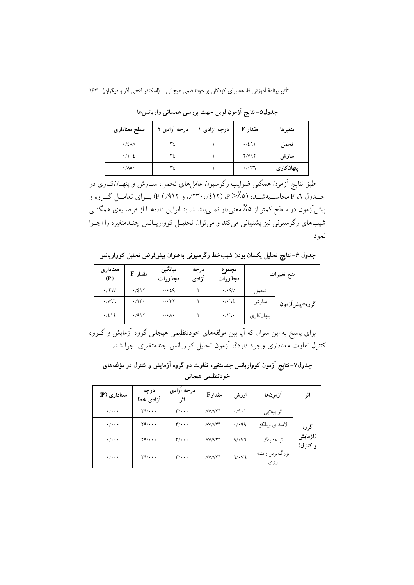| سطح معنادارى                | درجه آزادی ۲ | درجه آزادی ۱ | مقدار F                      | متغيرها    |
|-----------------------------|--------------|--------------|------------------------------|------------|
| $\cdot$ /2 $\Lambda\Lambda$ | ٣٤           |              | $\cdot$ /291                 | تحمل       |
| $\cdot/\cdot$ 2             | ٣٤           |              | $Y/Y$ ۹۲                     | سازش       |
| $\cdot/\wedge \circ \cdot$  | ٣٤           |              | $\cdot$ / $\cdot$ $\uparrow$ | پنهان کاری |

جدول٥- نتايج آزمون لوين جهت بررسي همساني واريانسها

طبق نتایج آزمون همگنی ضرایب رگرسیون عاملهای تحمل، ســازش و پنهــانکــاری در جــدول ٦، F محاســـبهشــده (۵٪< P (١٢٧٠، ١٢٣٠، و ١٩١٢) F) بــراي تعامــل گــروه و پیشآزمون در سطح کمتر از ۰۵٪ معنیدار نمـیباشــد، بنــابراین دادههــا از فرضــیهی همگنــی شیبهای رگرسیونی نیز پشتیبانی میکند و میتوان تحلیـل کوواریـانس چنــدمتغیره را اجــرا نمو د.

جدول ۶– نتایج تحلیل یکسان بودن شیبخط رگرسیونی بهعنوان پیشفررض تحلیل کوواریانس

| معنادارى<br>(P)     | مقدار F             | ميانگين<br>مجذورات              | درجه<br>آزادی | مجموع<br>مجذورات           | منبع تغييرات |               |
|---------------------|---------------------|---------------------------------|---------------|----------------------------|--------------|---------------|
| $\cdot$ /77 $\vee$  | .7217               | .4.69                           |               | $\cdot$ / $\cdot$ 9 $\vee$ | تحمل         |               |
| $\cdot$ / $\vee$ 97 | $\cdot$ /۲۳ $\cdot$ | $\cdot$ / $\cdot$ $\tau$ $\tau$ |               | $\cdot/\cdot$ ٦٤           | سازش         | گروه*پیشآزمون |
| $\cdot/2$ \ {       | $\cdot$ /917        | $\cdot/\cdot \wedge \cdot$      |               | $\cdot/17$                 | پنهانکاری    |               |

برای پاسخ به این سوال که آیا بین مولفههای خودتنظیمی هیجانی گروه آزمایش و گـروه کنترل تفاوت معناداری وجود دارد؟، آزمون تحلیل کواریانس چندمتغیری اجرا شد.

جدول۷– نتایج آزمون کوواریانس چندمتغیره تفاوت دو گروه آزمایش و کنترل در مؤلفههای خودتنظیمی هیجانی

| معناداری (P)                | درجه<br>آزادى خطا                | درجه آزادی<br>اثر            | مقدار F               | ارزش                 | أزمونها               | اثر                 |
|-----------------------------|----------------------------------|------------------------------|-----------------------|----------------------|-----------------------|---------------------|
| $\cdot$ / $\cdot$ + $\cdot$ | $\mathbf{Y} \mathbf{Q} / \cdots$ | $\mathbf{r}/\cdot\cdot\cdot$ | $\Lambda V/\Lambda T$ | $\cdot$ /9 $\cdot$ ) | اثر پیلایی            |                     |
| $\cdot$ / $\cdot$ + $\cdot$ | $Y_1 \cdots$                     | $\mathbf{r}/\cdot\cdot\cdot$ | $\Lambda V/\Lambda T$ | $\cdot$ / $\cdot$ 99 | لامبداي ويلكز         | گروه                |
| $\cdot$ / $\cdot$ + $\cdot$ | $Y_1 \cdots$                     | $\mathbf{r}/\cdot\cdot\cdot$ | $\Lambda V/\Lambda T$ | 9/11                 | اثر هتلينگ            | (آزمایش<br>و کنترل) |
| $\cdot$ / $\cdot$ + $\cdot$ | Y9/                              | $\mathbf{r}/\cdot\cdot\cdot$ | $\Lambda V/\Lambda T$ | 9.11                 | بزرگترين ريشه<br>ر وی |                     |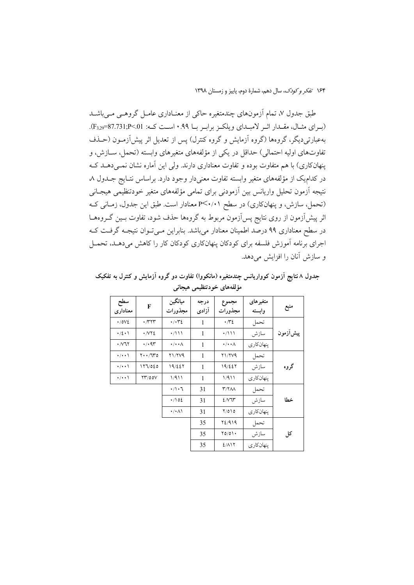۱۶۴ تفكر وكودك، سال دهم، شمارة دوم، ياييز و زمستان ١٣٩٨

طبق جدول ۷، تمام آزمونهای چندمتغیره حاکی از معنـاداری عامـل گروهـی مـیباشـد (برای مثبال، مقبدار اثبر لامبیدای ویلکیز برابیر بیا ۰.۹۹ است که: F3,29=87.731;P<.01). بهعبارتیدیگر، گروهها (گروه آزمایش و گروه کنترل) پس از تعدیل اثر پیش[زمــون (حــذف تفاوتهای اولیه احتمالی) حداقل در یکی از مؤلفههای متغیرهای وابسته (تحمل، ســازش، و ینهانکاری) با هم متفاوت بوده و تفاوت معناداری دارند. ولی این آماره نشان نمـی دهـد کـه در کدام،یک از مؤلفههای متغیر وابسته تفاوت معنیدار وجود دارد. براساس نتـایج جــدول ۸ نتيجه آزمون تحليل واريانس بين آزمودنى براى تمامى مؤلفههاى متغير خودتنظيمى هيجـانى (تحمل، سازش، و پنهانکاری) در سطح P<۰/۰۱ معنادار است. طبق این جدول، زمـانی کـه اثر پیشآزمون از روی نتایج پسآزمون مربوط به گروهها حذف شود، تفاوت بـین گـروههــا در سطح معناداری ۹۹ درصد اطمینان معنادار میباشد. بنابراین مـیتوان نتیجـه گرفـت کـه اجرای برنامه آموزش فلسفه برای کودکان پنهانکاری کودکان کار را کاهش میدهـد، تحمـل و سازش آنان را افزایش میدهد.

| منبع     | متغيرهاى<br>وابسته | مجموع<br>مجذورات         | درجه<br>آزادى | ميانگين<br>مجذورات        | F                          | سطح<br>معنادار و               |
|----------|--------------------|--------------------------|---------------|---------------------------|----------------------------|--------------------------------|
|          | تحمل               | $\cdot \pi$              | 1             | $\cdot/\cdot$ ۳٤          | $\cdot$ /۳۲۳               | $\cdot$ /0 $Vt$                |
| ييشآزمون | سازش               | $\cdot$ /\\\             | 1             | $\cdot$ / \ \ \           | $\cdot$ / $\vee$ $\cdot$ / | $\cdot/2 \cdot \cdot$          |
|          | پنهانکاری          | $\cdot/\cdot\cdot\wedge$ | 1             | $\cdot/\cdot\cdot\wedge$  | $\cdot$ / $\cdot$ 9٣       | $\cdot$ / $\vee$ $\vee$ $\vee$ |
|          | تحمل               | 21/279                   | 1             | <b>71/7V9</b>             | $Y \cdot \cdot /TY$ 0      | $\cdot/\cdot\cdot$             |
| گروه     | سازش               | 19/227                   | 1             | 19/227                    | 177/020                    | $\cdot$ / $\cdot$ \            |
|          | ينهان كارى         | 1/911                    | 1             | 1/911                     | <b>Y۳/00V</b>              | $\cdot/\cdot\cdot$             |
|          | تحمل               | $\mathsf{r}/\mathsf{r}$  | 31            | $\cdot/\cdot$ ٦           |                            |                                |
| خطا      | سازش               | 2/V                      | 31            | $\cdot/\partial \epsilon$ |                            |                                |
|          | ينهانكاري          | $Y/O$ $O$                | 31            | $\cdot/\cdot$ $\wedge$ \  |                            |                                |
|          | تحمل               | 72/919                   | 35            |                           |                            |                                |
| کل       | سازش               | Y0/0                     | 35            |                           |                            |                                |
|          | ينهان كارى         | 2/117                    | 35            |                           |                            |                                |

جدول ۸ نتایج آزمون کوواریانس چندمتغیره (مانکووا) تفاوت دو گروه آزمایش و کنترل به تفکیک مۂ لفههای خودتنظیمی هیجانی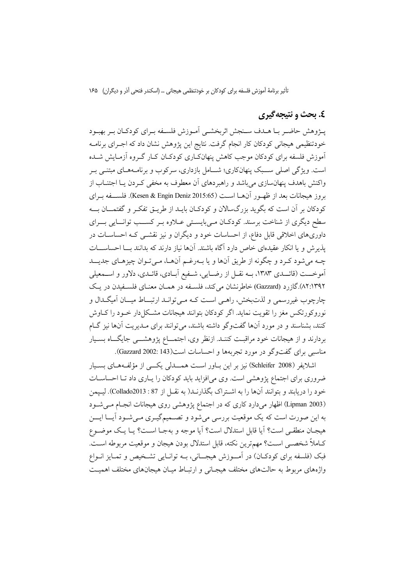# ٤. بحث و نتيجه گيري

يــژوهش حاضــر بــا هــدف ســنجش اثربخشــي أمــوزش فلســفه بــراي كودكــان بــر بهبــود خودتنظیمی هیجانی کودکان کار انجام گرفت. نتایج این پژوهش نشان داد که اجـرای برنامــه آموزش فلسفه برای کودکان موجب کاهش پنهانکباری کودکیان کیار گیروه آزمیایش شیده است. ویژگی اصلی ســبک پنهانکاری؛ شــامل بازداری، سرکوب و برنامـههـای مبتنـی بـر واکنش باهدف پنهانسازی می باشد و راهبردهای آن معطوف به مخفی کـردن یــا اجتنــاب از بو وز هیجانات بعد از ظهـور آنهـا اسـت (Kesen & Engin Deniz 2015:65). فلســـفه بـراي کودکان بر آن است که بگوید بزرگسالان و کودکـان بایــد از طریــق تفکــر و گفتمـــان بـــه سطح دیگری از شناخت برسند. کودکان مییایستی عبلاوه بر کسب توانسایی بسرای داوریهای اخلاقی قابل دفاع، از احساسات خود و دیگران و نیز نقشــی کــه احساســات در یذیرش و یا انکار عقیدهای خاص دارد آگاه باشند. آنها نیاز دارند که بدانند بـــا احساســـات چـه میشود کـرد و چگونه از طریق آنها و یا بـهرغـم آنهـا، مـیتـوان چیزهـای جدیــد آموخـــت (قائـــدي ١٣٨٣، بــه نقــل از رضــايي، شــفيع آبــادي، قائــدي، دلاور و اســمعيلي ۸۲:۱۳۹۲).گازرد (Gazzard) خاطرنشان می کند، فلسـفه در همـان معنـای فلسـفیدن در یـک چارچوب غیررسمی و لذتبخش، راهمی است کـه مـیتوانـد ارتبــاط میــان آمیگـدال و نوروکورتکس مغز را تقویت نماید. اگر کودکان بتوانند هیجانات مشکل دار خـود را کــاوش کنند، بشناسند و در مورد آنها گفتوگو داشته باشند، می توانند برای مـدیریت آنها نیز گـام بردارند و از هیجانات خود مراقبت کننـد. ازنظر وی، اجتمـــاع پژوهشــــی جایگـــاه بسـیار مناسبی برای گفتوگو در مورد تجربهها و احساسات است(143:Gazzard 2002).

اشلایفر (Schleifer 2008) نیز بر این بـاور اسـت همـــدلی یکـــی از مؤلفــههـای بسـیار ضروری برای اجتماع پژوهشی است. وی میافزاید باید کودکان را پـاری داد تـا احساسـات خود را دريابند و بتوانند آنها را به اشتراك بگذارنـد( به نقــل از 87 : Collado2013). ليـيمن (Lipman 2003) اظهار میدارد کاری که در اجتماع پژوهشی روی هیجانات انجام می شود به این صورت است که یک موقعیت بررسی میشود و تصـمیمگیـری مـیشـود آیــا ایـــن هيجـان منطقـي است؟ آيا قابل استدلال است؟ آيا موجه و بهجـا اسـت؟ يـا يـك موضـوع كـاملاً شخصـي اسـت؟ مهمترين نكته، قابل استدلال بودن هيجان و موقعيت مربوطه اسـت. فبک (فلسفه برای کودکـان) در آمــوزش هیجــانی، بــه توانــایی تشــخیص و تمــایز انــواع واژههای مربوط به حالتهای مختلف هیجـانی و ارتبـاط میـان هیجانهای مختلف اهمیـت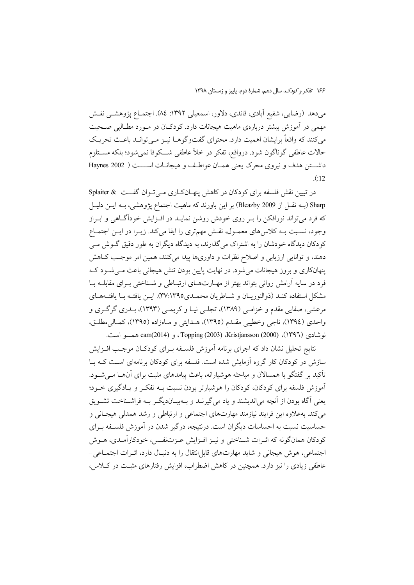میدهد (رضایی، شفیع آبادی، قائدی، دلاور، اسمعیلی ۱۳۹۲: ۸٤). اجتمـاع پژوهشــی نقــش مهمی در آموزش بیشتر دربارهی ماهیت هیجانات دارد. کودکـان در مـورد مطـالبی صـحبت می کنند که واقعاً برایشان اهمیت دارد. محتوای گفتوگوهـا نیـز مـیتوانـد باعـث تحریـک حالات عاطفي گوناگون شود. درواقع، تفكر در خلأ عاطفي شـــكوفا نمي شود؛ بلكه مســتلزم داشتن هدف و نيروي محرك يعني همـان عواطـف و هيجانــات اســــت ( Haynes 2002  $(12)$ 

در تبیین نقش فلسفه برای کودکان در کاهش پنهـانکـاری مـیتـوان گفــت & Splaiter Sharp (بــه نقــل از 2009 Bleazby) بر این باورند که ماهیت اجتماع پژوهشی، بــه ایــن دلیــل که فرد می تواند نورافکن را بـر روی خودش روشن نمایـد در افـزایش خوداًگــاهی و ابـراز وجود، نسبت بـه كلاس۵هاي معمـول، نقـش مهمتري را ايفا ميكند. زيـرا در ايـن اجتمـاع کودکان دیدگاه خودشان را به اشتراک می گذارند، به دیدگاه دیگران به طور دقیق گـوش مـی دهند، و توانایی ارزیابی و اصلاح نظرات و داوریها پیدا میکنند، همین امر موجب کـاهش پنهانکاری و بروز هیجانات می شود. در نهایت پایین بودن تنش هیجانی باعث م*ـی شـو*د کـه فرد در سایه آرامش روانی بتواند بهتر از مهـارتهـای ارتبـاطی و شـناختی بـرای مقابلــه بــا مشكل استفاده كنـد (ذوالنوريـان و شـاطريان محمـدي١٣٩٥:٣٧). ايـن يافتـه بـا يافتـههـاي مرعشي، صفايي مقدم و خزامـي (١٣٨٩)، تجلـي نيـا و كريمـي (١٣٩٣)، بــدري گرگــري و واحدي (١٣٩٤)، ناجي وخطيبي مقـدم (١٣٩٥)، هـدايتي و مـاهزاده (١٣٩٥)، كمـالي مطلـق، نوشادي (١٣٩٦)، Kristjansson (2000)، Topping (2003)، و cam(2014) همسو است.

نتايج تحليل نشان داد كه اجراي برنامه آموزش فلسـفه بـراي كودكـان موجـب افـزايش سازش در کودکان کار گروه آزمایش شده است. فلسفه برای کودکان برنامهای است کـه بــا تأکید بر گفتگو با همسالان و مباحثه هوشیارانه، باعث پیامدهای مثبت برای آنهــا مــیشــود. آموزش فلسفه برای کودکان، کودکان را هوشیارتر بودن نسبت بـه تفکـر و پـادگیری خـود؛ یعنی آگاه بودن از آنچه میاندیشند و یاد میگیرنـد و بـهبیـاندیگـر بـه فراشـناخت تشـویق می کند. بهعلاوه این فرایند نیازمند مهارتهای اجتماعی و ارتباطی و رشد همدلی هیجـانی و حساسیت نسبت به احساسات دیگران است. درنتیجه، درگیر شدن در آموزش فلســفه بــرای كودكان همانگونه كه اثـرات شـناختى و نيـز افـزايش عـزتنفـس، خودكارآمـدي، هــوش اجتماعي، هوش هيجاني و شايد مهارتهاي قابل انتقال را به دنبـال دارد، اثـرات اجتمـاعي – عاطفی زیادی را نیز دارد. همچنین در کاهش اضطراب، افزایش رفتارهای مثبت در کلاس،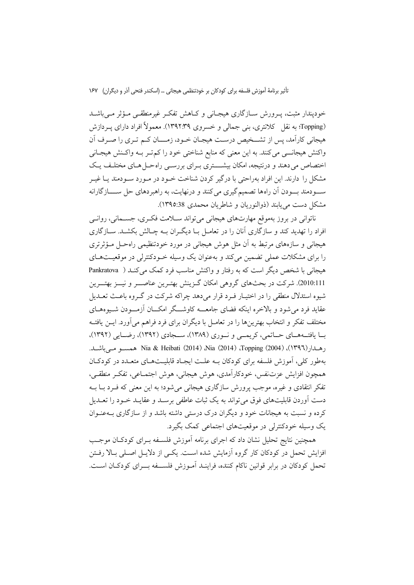خودیندار مثبت، پـرورش ســازگاری هیجــانی و کــاهش تفکـر غیرمنطقــی مــؤثر مــی،باشــد (Topping: به نقل کلانتری، بنی جمالی و خسروی ۱۳۹۲:۳۹). معمولاً افراد دارای پـردازش هیجانی کارآمد، پس از تشــخیص درسـت هیجـان خـود، زمــــان کـم تـری را صـرف آن واکنش هیجانسی میکنند. به این معنی که منابع شناختی خود را کم تـر بـه واکـنش هیجـانی اختصاص می دهند و درنتیجه، امکان بیشتری بـرای بررسـی راهحـل هـای مختلـف یـک مشکل را دارند. این افراد بهراحتی با درگیر کردن شناخت خــود در مــورد ســودمند پــا غیــر ســـودمند بـــودن آن راهها تصمیم گیری میکنند و درنهایت، به راهبردهای حل ســـــازگارانه مشکل دست می پابند (ذوالنوریان و شاطریان محمدی 38:١٣٩٥).

ناتواني در بروز بهموقع مهارتهاي هيجاني مي تواند سـلامت فكـرى، جسـماني، روانـي افراد را تهدید کند و سازگاری آنان را در تعامـل بـا دیگــران بــه چــالش بکشــد. ســازگاری هیجانی و سازههای مرتبط به آن مثل هوش هیجانی در مورد خودتنظیمی راهحـل مـؤثرتری را برای مشکلات عملی تضمین می کند و بهعنوان یک وسیله خـودکنترلی در موقعیـتهـای هیجانی با شخص دیگر است که به رفتار و واکنش مناسب فرد کمک می کنـد ( Pankratova 2010:111). شرکت در بحثهای گروهی امکان گـزینش بهتـرین عناصـــر و نیــز بهتــرین شیوه استدلال منطقی را در اختیـار فـرد قرار میدهد چراکه شرکت در گـروه باعـث تعـدیل عقاید فرد می شود و بالاخره اینکه فضای جامعـــه کاوشـــگر امکـــان اّزمـــودن شــیوههــای مختلف تفکر و انتخاب بهترینها را در تعامـل با دیگران برای فرد فراهم می آورد. ایــن یافتــه بسا یافتمههای حساتمی، کریمسی و نسوری (۱۳۸۹)، سمجادی (۱۳۹۲)، رضسایی (۱۳۹۲)، رهبدار (١٣٩٦)، Topping (2004)، Nia & Heibati (2014) ،Nia (2014)، ممسو مبي باشيد. پهطور کلي، آموزش فلسفه براي کودکان پـه علـت ايجـاد قابليــتـهـاي متعــدد در کودکـان همچون افزايش عزتنفس، خودكارآمدي، هوش هيجاني، هوش اجتمــاعي، تفكـر منطقــي، تفکر انتقادی و غیره، موجب پرورش سازگاری هیجانی می شود؛ به این معنی که فــرد بــا بــه دست آوردن قابلیتهای فوق می تواند به یک ثبات عاطفی برسـد و عقایـد خـود را تعـدیل کرده و نسبت به هیجانات خود و دیگران درک درستی داشته باشد و از سازگاری بــهعنــوان یک وسیله خودکنترلی در موقعیتهای اجتماعی کمک بگیرد.

همچنین نتایج تحلیل نشان داد که اجرای برنامه آموزش فلسـفه بـرای کودکـان موجـب افزایش تحمل در کودکان کار گروه آزمایش شده است. یکـی از دلایـل اصـلی بـالا رفــتن تحمل كودكان در برابر قوانين ناكام كننده، فراينـد آمـوزش فلســفه بـــراي كودكــان اســت.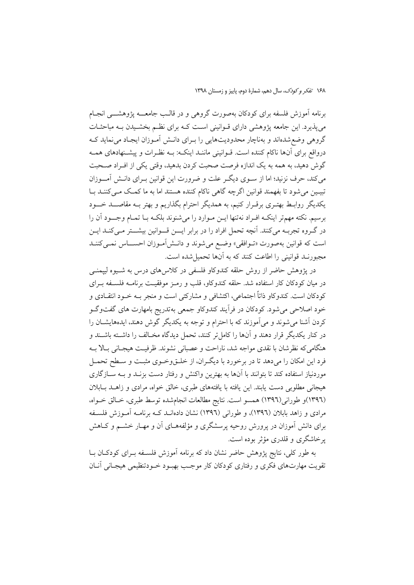١۶٨ تفكر وكودك، سال دهم، شمارة دوم، ياييز و زمستان ١٣٩٨

برنامه آموزش فلسفه براي كودكان بهصورت گروهي و در قالـب جامعـــه يژوهشــــي انجــام می پذیرد. این جامعه پژوهشی دارای قــوانینی اسـت کــه برای نظــم بخشــیدن بــه مباحثــات گروهی وضع شدهاند و بهناچار محدودیتهایی را بـرای دانـش آمـوزان ایجـاد می نماید کـه درواقع برای آنها ناکام کننده است. قــوانینی ماننــد اینکــه: بــه نظــرات و پیشــنهادهای همــه گوش دهید، به همه به یک اندازه فرصت صحبت کردن بدهید، وقتی یکی از افـراد صـحبت می کند، حرف نزنید؛ اما از سـوی دیگـر علت و ضرورت این قوانین بـرای دانـش آمـــوزان تبيـين مي شود تا بفهمند قوانين اگرچه گاهي ناكام كننده هستند اما به ما كمـك مـي كننـد بـا یکدیگر روابط بهتـری برقـرار کنیم، به همدیگر احترام بگذاریم و بهتر بـه مقاصـــد خـــود برسيم. نكته مهمتر اينكـه افـراد نهتنها ايـن مـوارد را مى شنوند بلكـه بـا تمـام وجــود أن را در گــروه تجربــه میکنند. آنچه تحمل افراد را در برابر ایـــن قـــوانین بیشـــتر مــیکنــد ایــن است که قوانین بهصورت «تـوافقی» وضـع میشوند و دانـش|مـوزان احســـاس نمـیکننــد مجبورنـد قوانيني را اطاعت كنند كه به أنها تحميل شده است.

در پژوهش حاضر از روش حلقه کندوکاو فلسفی در کلاسهای درس به شـیوه لییمنـی در میان کودکان کار استفاده شد. حلقه کندوکاو، قلب و رمـز موفقیـت برنامــه فلســفه بــرای کودکان است. کندوکاو ذاتاً اجتماعی، اکتشافی و مشارکتی است و منجر بـه خـود انتقـادی و خود اصلاحی میشود. کودکان در فرآیند کندوکاو جمعی بهتدریج بامهارت های گفتوگـو کردن آشنا می شوند و می آموزند که با احترام و توجه به یکدیگر گوش دهند، ایدههایشــان را در کنار یکدیگر قرار دهند و آنها را کامل تر کنند، تحمل دیدگاه مخـالف را داشــته باشــند و هنگامی که نظرشان با نقدی مواجه شد، ناراحت و عصبانی نشوند. ظرفیت هیجـانی بـالا بــه فرد این امکان را می دهد تا در برخورد با دیگـران، از خلـقوخـوی مثبـت و سـطح تحمـل موردنیاز استفاده کند تا بتوانند با آنها به بهترین واکنش و رفتار دست بزنـد و بـه ســازگاری هیجانی مطلوبی دست یابند. این یافته با یافتههای طبری، خالق خواه، مرادی و زاهــد بــابلان (١٣٩٦)و طوراني(١٣٩٦) همسو است. نتايج مطالعات انجامشده توسط طبري، خـالق خـواه، مرادی و زاهد بابلان (۱۳۹٦)، و طورانی (۱۳۹٦) نشان دادهانــد کــه برنامــه آمــوزش فلســفه برای دانش آموزان در پرورش روحیه پرسشگری و مؤلفههـای آن و مهـار خشــم و کــاهش پرخاشگری و قلدری مؤثر بوده است.

به طور کلی، نتایج پژوهش حاضر نشان داد که برنامه آموزش فلسـفه بـرای کودکـان بـا تقویت مهارتهای فکری و رفتاری کودکان کار موجب بهبود خــودتنظیمی هیجــانی آنــان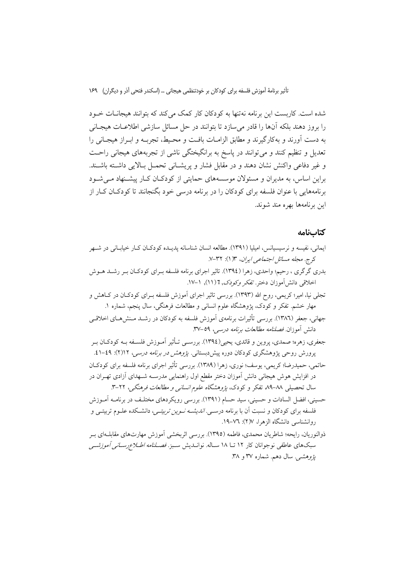شده است. کاربست این برنامه نهتنها به کودکان کار کمک می کند که بتوانند هیجانــات خــود را بروز دهند بلکه آنها را قادر میسازد تا بتوانند در حل مسائل سازشی اطلاعـات هیجـانی به دست آورند و بهکارگیرند و مطابق الزامـات بافـت و محـيط، تجربـه و ابـراز هيجـاني را تعدیل و تنظیم کنند و میتوانند در پاسخ به برانگیختگی ناشی از تجربههای هیجانی راحـت و غیر دفاعی واکنش نشان دهند و در مقابل فشار و پریشـانی تحمـل بـالایی داشـته باشـند. براین اساس، به مدیران و مسئولان موسسههای حمایتی از کودکـان کـار پیشـنهاد مـی شـود برنامههایی با عنوان فلسفه برای کودکان را در برنامه درسی خود بگنجانند تا کودکـان کـار از اين برنامهها بهره مند شوند.

## كتابنامه

| ایمانی، نفیسه و نرسیسیانس، امیلیا (۱۳۹۱). مطالعه انسان شناسانه پدیــده کودکــان کــار خیابــانی در شــهر    |
|-------------------------------------------------------------------------------------------------------------|
| كرج. مجله مسائل اجتماعي ايران، ١٣/٣. ٣٢-٧.                                                                  |
| بدری گرگری ، رحیم؛ واحدی، زهرا (١٣٩٤). تاثیر اجرای برنامه فلسفه بـرای کودکـان بـر رشــد هــوش               |
| اخلاقی دانش[موزان دختر. <i>تفکر وکودک, ۱</i> (۱۱), ۱–۱۷.                                                    |
| تجلی نیا، امیر؛ کریمی، روح الله (۱۳۹۳). بررسی تاثیر اجرای آموزش فلسفه بــرای کودکــان در کــاهش و           |
| مهار خشم. تفکر و کودک، پژوهشگاه علوم انسانی و مطالعات فرهنگی، سال پنجم، شماره ۱.                            |
| جهانی، جعفر (۱۳۸٦). بررسی تأثیرات برنامهی آموزش فلسفه به کودکان در رشــد مـنش(هــای اخلاقــی                |
| دانش أموزان <i>فصلنامه مطالعات برنامه درسی، ٥٩–</i> ٣٧.                                                     |
| جعفری، زهره؛ صمدی، پروین و قائدی، یحیی(١٣٩٤). بررســي تــأثیر آمــوزش فلســفه بــه کودکــان بــر            |
| پرورش روحی پژوهشگری کودکان دوره پیشدبستانی. <i>پژوهش در برنامه درسی</i> ، ۱۲(۲): ۱-۵.                       |
| حاتمی، حمیدرضا؛ کریمی، یوسف؛ نوری، زهرا (۱۳۸۹). بررسی تأثیر اجرای برنامه فلسفه برای کودکـان                 |
| در افزایش هوش هیجانی دانش آموزان دختر مقطع اول راهنمایی مدرسـه شـهدای آزادی تهـران در                       |
| سال تحصیلی ۸۸–۸۹ تفکر و کودک، <i>پژوهشگاه علوم انسانی و مطالعات فرهنگی</i> ، ۲۲–۳.                          |
| حسینی، افضل السادات و حسینی، سید حسام (۱۳۹۱). بررسی رویکردهای مختلـف در برنامــه آمــوزش                    |
| فلسفه برای کودکان و نسبت آن با برنامه درسـ <i>ی. اندیشــه نــوین تربیتــی</i> ، دانشــکده علــوم تربیتــی و |
| روانشناسی دانشگاه الزهرا، ۲۷/: ۷٦–۱۹.                                                                       |
| ذوالنوریان، رایحه؛ شاطریان محمدی، فاطمه (۱۳۹۵). بررسی اثربخشی آموزش مهارتهای مقابلـهای بـر                  |
| سبکهای عاطفی نوجوانان کار ۱۲ تــا ۱۸ ســاله. نوانــدیش ســبز. <i>فصــلنامه اطــلاعرســانـی اموزشــی</i>     |
| <i>پژوهشی.</i> سال دهم. شماره ۳۷ و ۳۸.                                                                      |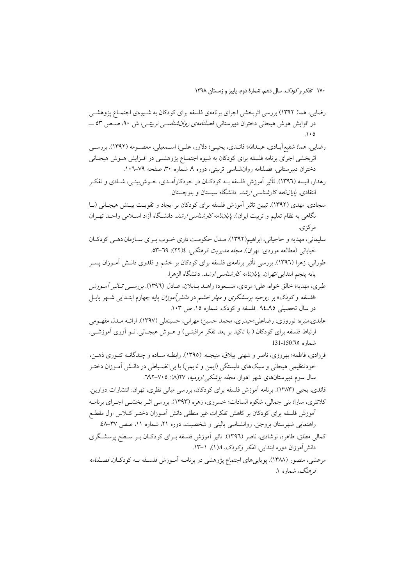رضایی، هما( ۱۳۹۲) بررسی اثربخشی اجرای برنامهی فلسفه برای کودکان به شـیوهی اجتمـاع پژوهشـی در افزایش هوش هیجانی دختران دبیرستانی، *فصلنامهی روانشناسـی تربیتـی*، ش ۹۰، صـص ۵۳ ـــ

رضايي، هما؛ شفيع أبـادي، عبـدالله؛ قائـدي، يحيـي؛ دلاور، علـي؛ اســمعيلي، معصــومه (١٣٩٢). بررســي اثربخشی اجرای برنامه فلسفه برای کودکان به شیوه اجتمـاع پژوهشـی در افـزایش هــوش هیجـانی دختران دبیرستانی، فصلنامه روانشناسی تربیتی، دوره ۹، شماره ۳۰، صفحه ۷۹–۱۰٦.

رهدار، انیسه (۱۳۹٦). تأثیر آموزش فلسفه بـه کودکـان در خودکارآمـدی، خــوش۱پینــی، شــادی و تفکــر انتقادی. *پایاننامه کارشناسی ارشد.* دانشگاه سیستان و بلوچستان.

سجادی، مهدی (۱۳۹۲). تبیین تاثیر آموزش فلسفه برای کودکان بر ایجاد و تقویت بیـنش هیجـانی (بـا نگاهی به نظام تعلیم و تربیت ایران). *پایاننامه کارشناسی ارشد*. دانشگاه آزاد اسـلامی واحــد تهـران مر کز ی.

- سليماني، مهديه و حاجياني، ابراهيم(١٣٩٢). مـدل حكومـت داري خـوب بـراي سـازمان دهـي كودكـان خیابانی (مطالعه موردی: تهران). *مجله مدیریت فرهنگی، ۱*(۲۲): ۲۹–۵۳.
- طورانی، زهرا (١٣٩٦). بررسی تأثیر برنامهی فلسفه برای کودکان بر خشم و قلدری دانــش آمــوزان یســر يايه ينجم ابتداي<sub>ق</sub>/تهران. *ياياننامه كارشناسي ارشد*. دانشگاه الزهرا.

طبري، مهديه؛ خالق خواه، علي؛ مرداي، مسـعود؛ زاهــد بــابلان، عــادل (١٣٩٦). *بررســي تــاثير آمــوزش*ر «فلسفه و کودک» بر ر*وحیه پرسشگری و مهار خشم در دانش آموزان* پایه چهارم ابتـدایی شـهر بابـل 

عابدي،منيره؛ نوروزي، رضاعلي؛حيدري، محمد حسين؛ مهرابي، حسينعلي (١٣٩٧). ارائــه مــدل مفهــومي ارتباط فلسفه برای کودکان ( با تاکید بر بعد تفکر مراقبتـی) و هــوش هیجــانی. نــو اَوری اَموزشــی. شماره 131-150.

فرزادي، فاطمه؛ بهروزي، ناصر و شهني پيلاق، منيجـه. (١٣٩٥). رابطـه سـاده و چندگانــه تئــوري ذهــن، خودتنظیمی هیجانی و سبکهای دلبستگی (ایمن و ناایمن) با بی|نضـباطی در دانـش آمـوزان دختـر سال سوم دبیرستانهای شهر اهواز. *مجله پزشکی ارومیه*، ۲۷(۸): ۰۵–۲۹۲.

قائدی، یحیی (۱۳۸۳). برنامه اَموزش فلسفه برای کودکان، بررسی مبانی نظری، تهران: انتشارات دواوین. کلانتری، سارا؛ بنی جمالی، شکوه السادات؛ خسروی، زهره (۱۳۹۳). بررسی اثـر بخشـی اجـرای برنامـه آموزش فلسفه برای کودکان بر کاهش تفکرات غیر منطقی دانش آمـوزان دختـر کـلاس اول مقطـع راهنمایی شهرستان بروجن. روانشناسی بالینی و شخصیت، دوره ۲۱، شماره ۱۱، صص ۳۷-۶۸. کمالی مطلق، طاهره، نوشادی، ناصر (۱۳۹٦). تاثیر آموزش فلسفه بـرای کودکـان بـر سـطح پرسشـگری

- دانش آموزان دوره ابتدایی. تفکر *وکودک, ۱۸*(۱), ۱–۱۳.
- مرعشي، منصور (١٣٨٨). يوپايي هاي اجتماع يژوهشي در برنامـه آمـوزش فلسـفه بـه كودكـان *فصـلنامه* فرهنگ، شماره ۱.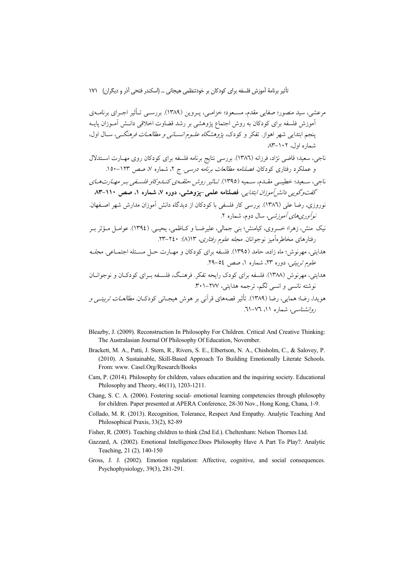- Bleazby, J. (2009). Reconstruction In Philosophy For Children. Critical And Creative Thinking: The Australasian Journal Of Philosophy Of Education, November.
- Brackett, M. A., Patti, J. Stern, R., Rivers, S. E., Elbertson, N. A., Chisholm, C., & Salovey, P. (2010). A Sustainable, Skill-Based Approach To Building Emotionally Literate Schools. From: www. Casel.Org/Research/Books
- Cam, P. (2014). Philosophy for children, values education and the inquiring society. Educational Philosophy and Theory, 46(11), 1203-1211.
- Chang, S. C. A. (2006). Fostering social-emotional learning competencies through philosophy for children. Paper presented at APERA Conference, 28-30 Nov., Hong Kong, Chana, 1-9.
- Collado, M. R. (2013). Recognition, Tolerance, Respect And Empathy. Analytic Teaching And Philosophical Praxis, 33(2), 82-89
- Fisher, R. (2005). Teaching children to think (2nd Ed.). Cheltenham: Nelson Thornes Ltd.
- Gazzard, A. (2002). Emotional Intelligence: Does Philosophy Have A Part To Play?. Analytic Teaching, 21 (2), 140-150
- Gross, J. J. (2002). Emotion regulation: Affective, cognitive, and social consequences. Psychophysiology, 39(3), 281-291.